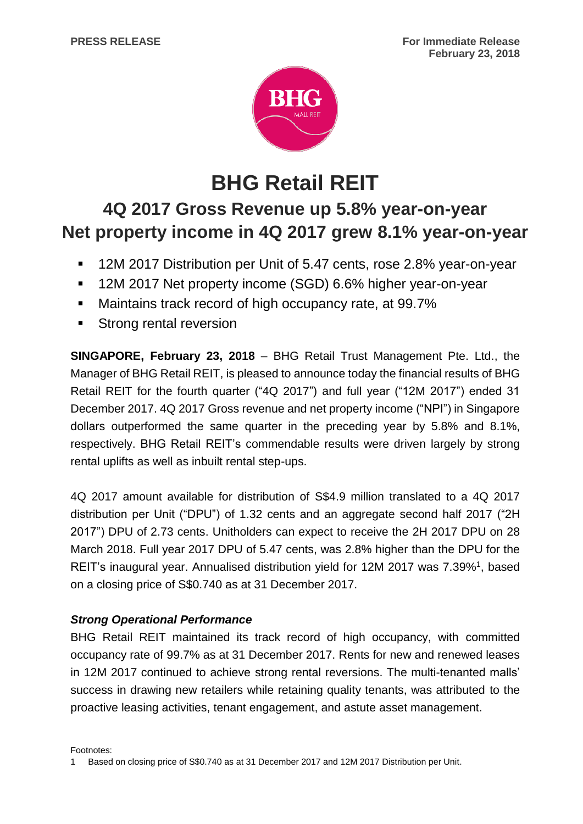

# **BHG Retail REIT**

## **4Q 2017 Gross Revenue up 5.8% year-on-year Net property income in 4Q 2017 grew 8.1% year-on-year**

- **12M 2017 Distribution per Unit of 5.47 cents, rose 2.8% year-on-year**
- 12M 2017 Net property income (SGD) 6.6% higher year-on-year
- **Maintains track record of high occupancy rate, at 99.7%**
- **Strong rental reversion**

**SINGAPORE, February 23, 2018** – BHG Retail Trust Management Pte. Ltd., the Manager of BHG Retail REIT, is pleased to announce today the financial results of BHG Retail REIT for the fourth quarter ("4Q 2017") and full year ("12M 2017") ended 31 December 2017. 4Q 2017 Gross revenue and net property income ("NPI") in Singapore dollars outperformed the same quarter in the preceding year by 5.8% and 8.1%, respectively. BHG Retail REIT's commendable results were driven largely by strong rental uplifts as well as inbuilt rental step-ups.

4Q 2017 amount available for distribution of S\$4.9 million translated to a 4Q 2017 distribution per Unit ("DPU") of 1.32 cents and an aggregate second half 2017 ("2H 2017") DPU of 2.73 cents. Unitholders can expect to receive the 2H 2017 DPU on 28 March 2018. Full year 2017 DPU of 5.47 cents, was 2.8% higher than the DPU for the REIT's inaugural year. Annualised distribution yield for 12M 2017 was 7.39%<sup>1</sup>, based on a closing price of S\$0.740 as at 31 December 2017.

### *Strong Operational Performance*

BHG Retail REIT maintained its track record of high occupancy, with committed occupancy rate of 99.7% as at 31 December 2017. Rents for new and renewed leases in 12M 2017 continued to achieve strong rental reversions. The multi-tenanted malls' success in drawing new retailers while retaining quality tenants, was attributed to the proactive leasing activities, tenant engagement, and astute asset management.

Footnotes:

<sup>1</sup> Based on closing price of S\$0.740 as at 31 December 2017 and 12M 2017 Distribution per Unit.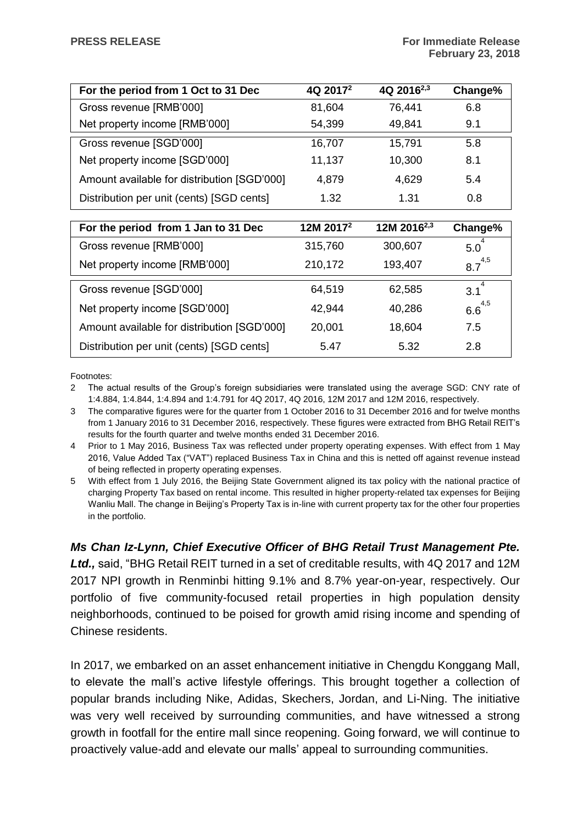| For the period from 1 Oct to 31 Dec         | 4Q 2017 <sup>2</sup> | 4Q 2016 <sup>2,3</sup> | Change% |
|---------------------------------------------|----------------------|------------------------|---------|
| Gross revenue [RMB'000]                     | 81,604               | 76,441                 | 6.8     |
| Net property income [RMB'000]               | 54,399               | 49,841                 | 9.1     |
| Gross revenue [SGD'000]                     | 16,707               | 15,791                 | 5.8     |
| Net property income [SGD'000]               | 11,137               | 10,300                 | 8.1     |
| Amount available for distribution [SGD'000] | 4,879                | 4,629                  | 5.4     |
| Distribution per unit (cents) [SGD cents]   | 1.32                 | 1.31                   | 0.8     |

| For the period from 1 Jan to 31 Dec         | 12M 2017 <sup>2</sup> | 12M 2016 <sup>2,3</sup> | Change%     |
|---------------------------------------------|-----------------------|-------------------------|-------------|
| Gross revenue [RMB'000]                     | 315,760               | 300,607                 | 5.0         |
| Net property income [RMB'000]               | 210,172               | 193,407                 | $8.7^{4,5}$ |
| Gross revenue [SGD'000]                     | 64,519                | 62,585                  | 3.1         |
| Net property income [SGD'000]               | 42,944                | 40,286                  | $6.6^{4,5}$ |
| Amount available for distribution [SGD'000] | 20,001                | 18,604                  | 7.5         |
| Distribution per unit (cents) [SGD cents]   | 5.47                  | 5.32                    | 2.8         |

Footnotes:

- 2 The actual results of the Group's foreign subsidiaries were translated using the average SGD: CNY rate of 1:4.884, 1:4.844, 1:4.894 and 1:4.791 for 4Q 2017, 4Q 2016, 12M 2017 and 12M 2016, respectively.
- 3 The comparative figures were for the quarter from 1 October 2016 to 31 December 2016 and for twelve months from 1 January 2016 to 31 December 2016, respectively. These figures were extracted from BHG Retail REIT's results for the fourth quarter and twelve months ended 31 December 2016.
- 4 Prior to 1 May 2016, Business Tax was reflected under property operating expenses. With effect from 1 May 2016, Value Added Tax ("VAT") replaced Business Tax in China and this is netted off against revenue instead of being reflected in property operating expenses.
- 5 With effect from 1 July 2016, the Beijing State Government aligned its tax policy with the national practice of charging Property Tax based on rental income. This resulted in higher property-related tax expenses for Beijing Wanliu Mall. The change in Beijing's Property Tax is in-line with current property tax for the other four properties in the portfolio.

*Ms Chan Iz-Lynn, Chief Executive Officer of BHG Retail Trust Management Pte. Ltd.,* said, "BHG Retail REIT turned in a set of creditable results, with 4Q 2017 and 12M 2017 NPI growth in Renminbi hitting 9.1% and 8.7% year-on-year, respectively. Our portfolio of five community-focused retail properties in high population density neighborhoods, continued to be poised for growth amid rising income and spending of Chinese residents.

In 2017, we embarked on an asset enhancement initiative in Chengdu Konggang Mall, to elevate the mall's active lifestyle offerings. This brought together a collection of popular brands including Nike, Adidas, Skechers, Jordan, and Li-Ning. The initiative was very well received by surrounding communities, and have witnessed a strong growth in footfall for the entire mall since reopening. Going forward, we will continue to proactively value-add and elevate our malls' appeal to surrounding communities.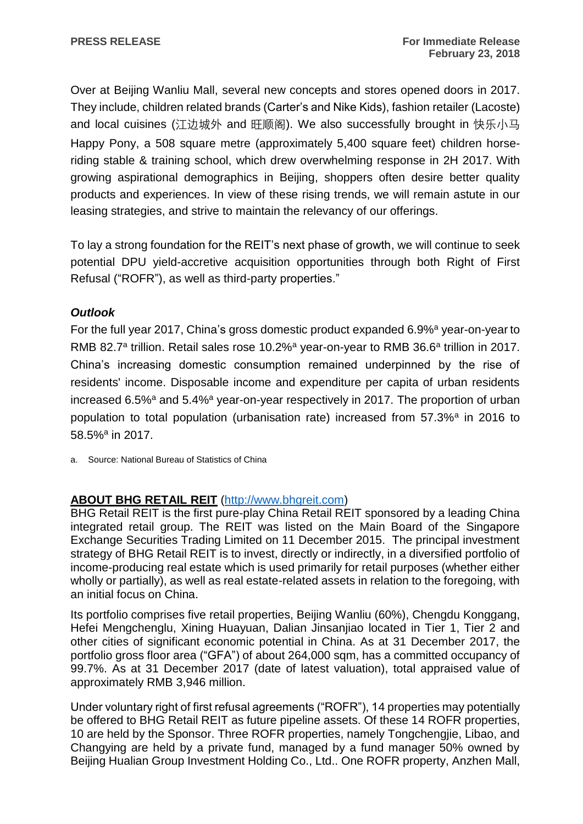Over at Beijing Wanliu Mall, several new concepts and stores opened doors in 2017. They include, children related brands (Carter's and Nike Kids), fashion retailer (Lacoste) and local cuisines (江边城外 and 旺顺阁). We also successfully brought in 快乐小马 Happy Pony, a 508 square metre (approximately 5,400 square feet) children horseriding stable & training school, which drew overwhelming response in 2H 2017. With growing aspirational demographics in Beijing, shoppers often desire better quality products and experiences. In view of these rising trends, we will remain astute in our leasing strategies, and strive to maintain the relevancy of our offerings.

To lay a strong foundation for the REIT's next phase of growth, we will continue to seek potential DPU yield-accretive acquisition opportunities through both Right of First Refusal ("ROFR"), as well as third-party properties."

#### *Outlook*

For the full year 2017, China's gross domestic product expanded 6.9%<sup>a</sup> year-on-year to RMB 82.7<sup>a</sup> trillion. Retail sales rose 10.2%<sup>a</sup> year-on-year to RMB 36.6<sup>a</sup> trillion in 2017. China's increasing domestic consumption remained underpinned by the rise of residents' income. Disposable income and expenditure per capita of urban residents increased  $6.5\%$ <sup>a</sup> and  $5.4\%$ <sup>a</sup> year-on-year respectively in 2017. The proportion of urban population to total population (urbanisation rate) increased from 57.3%<sup>a</sup> in 2016 to 58.5%<sup>a</sup> in 2017.

a. Source: National Bureau of Statistics of China

#### **ABOUT BHG RETAIL REIT** [\(http://www.bhgreit.com\)](http://www.bhgreit.com/)

BHG Retail REIT is the first pure-play China Retail REIT sponsored by a leading China integrated retail group. The REIT was listed on the Main Board of the Singapore Exchange Securities Trading Limited on 11 December 2015. The principal investment strategy of BHG Retail REIT is to invest, directly or indirectly, in a diversified portfolio of income-producing real estate which is used primarily for retail purposes (whether either wholly or partially), as well as real estate-related assets in relation to the foregoing, with an initial focus on China.

Its portfolio comprises five retail properties, Beijing Wanliu (60%), Chengdu Konggang, Hefei Mengchenglu, Xining Huayuan, Dalian Jinsanjiao located in Tier 1, Tier 2 and other cities of significant economic potential in China. As at 31 December 2017, the portfolio gross floor area ("GFA") of about 264,000 sqm, has a committed occupancy of 99.7%. As at 31 December 2017 (date of latest valuation), total appraised value of approximately RMB 3,946 million.

Under voluntary right of first refusal agreements ("ROFR"), 14 properties may potentially be offered to BHG Retail REIT as future pipeline assets. Of these 14 ROFR properties, 10 are held by the Sponsor. Three ROFR properties, namely Tongchengjie, Libao, and Changying are held by a private fund, managed by a fund manager 50% owned by Beijing Hualian Group Investment Holding Co., Ltd.. One ROFR property, Anzhen Mall,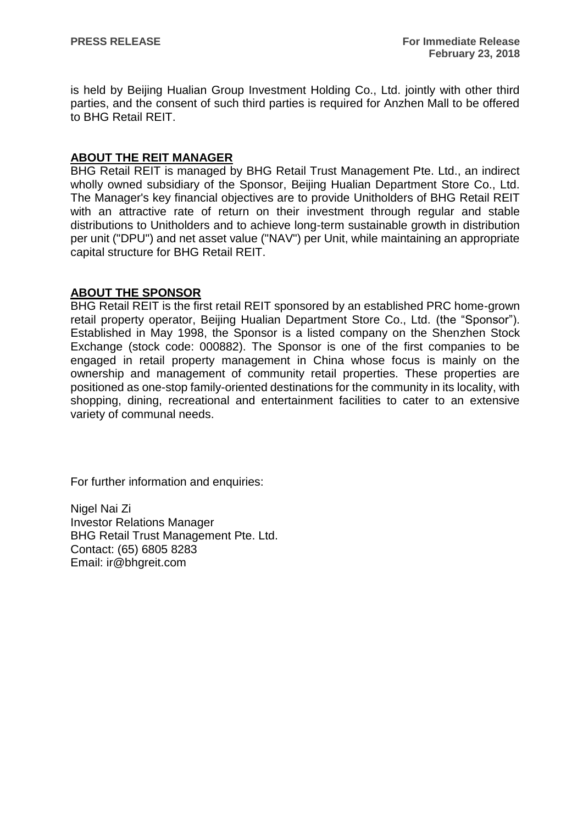is held by Beijing Hualian Group Investment Holding Co., Ltd. jointly with other third parties, and the consent of such third parties is required for Anzhen Mall to be offered to BHG Retail REIT.

#### **ABOUT THE REIT MANAGER**

BHG Retail REIT is managed by BHG Retail Trust Management Pte. Ltd., an indirect wholly owned subsidiary of the Sponsor, Beijing Hualian Department Store Co., Ltd. The Manager's key financial objectives are to provide Unitholders of BHG Retail REIT with an attractive rate of return on their investment through regular and stable distributions to Unitholders and to achieve long-term sustainable growth in distribution per unit ("DPU") and net asset value ("NAV") per Unit, while maintaining an appropriate capital structure for BHG Retail REIT.

#### **ABOUT THE SPONSOR**

BHG Retail REIT is the first retail REIT sponsored by an established PRC home-grown retail property operator, Beijing Hualian Department Store Co., Ltd. (the "Sponsor"). Established in May 1998, the Sponsor is a listed company on the Shenzhen Stock Exchange (stock code: 000882). The Sponsor is one of the first companies to be engaged in retail property management in China whose focus is mainly on the ownership and management of community retail properties. These properties are positioned as one-stop family-oriented destinations for the community in its locality, with shopping, dining, recreational and entertainment facilities to cater to an extensive variety of communal needs.

For further information and enquiries:

Nigel Nai Zi Investor Relations Manager BHG Retail Trust Management Pte. Ltd. Contact: (65) 6805 8283 Email: ir@bhgreit.com